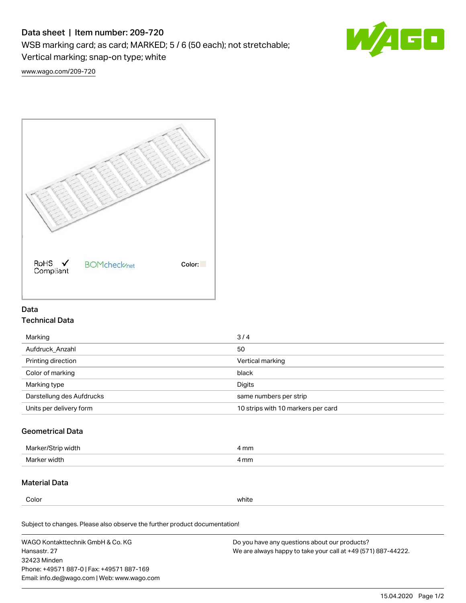# Data sheet | Item number: 209-720

WSB marking card; as card; MARKED; 5 / 6 (50 each); not stretchable;

Vertical marking; snap-on type; white



[www.wago.com/209-720](http://www.wago.com/209-720)



## Data Technical Data

| Marking                   | 3/4                                |
|---------------------------|------------------------------------|
| Aufdruck Anzahl           | 50                                 |
| Printing direction        | Vertical marking                   |
| Color of marking          | black                              |
| Marking type              | Digits                             |
| Darstellung des Aufdrucks | same numbers per strip             |
| Units per delivery form   | 10 strips with 10 markers per card |

## Geometrical Data

| Ma<br>width    | 4 mm |
|----------------|------|
| Marke<br>widtł | 4 mm |

### Material Data

Color white

Subject to changes. Please also observe the further product documentation!

WAGO Kontakttechnik GmbH & Co. KG Hansastr. 27 32423 Minden Phone: +49571 887-0 | Fax: +49571 887-169 Email: info.de@wago.com | Web: www.wago.com Do you have any questions about our products? We are always happy to take your call at +49 (571) 887-44222.